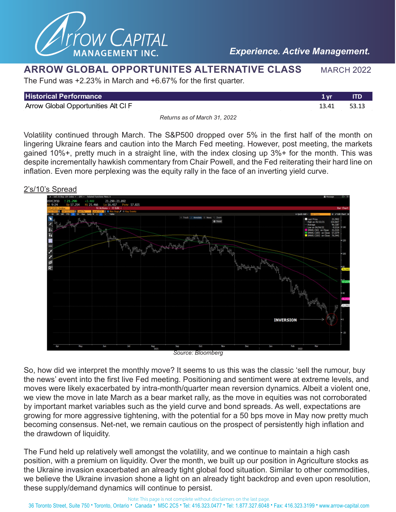

### **ARROW GLOBAL OPPORTUNITES ALTERNATIVE CLASS MARCH 2022**

The Fund was +2.23% in March and +6.67% for the first quarter.

| <b>Historical Performance</b>       | 1 vr  | ITD   |
|-------------------------------------|-------|-------|
| Arrow Global Opportunities Alt CI F | 13.41 | 53.13 |
|                                     |       |       |

*Returns as of March 31, 2022*

Volatility continued through March. The S&P500 dropped over 5% in the first half of the month on lingering Ukraine fears and caution into the March Fed meeting. However, post meeting, the markets gained 10%+, pretty much in a straight line, with the index closing up 3%+ for the month. This was despite incrementally hawkish commentary from Chair Powell, and the Fed reiterating their hard line on inflation. Even more perplexing was the equity rally in the face of an inverting yield curve.

### 2's/10's Spread



*Source: Bloomberg*

So, how did we interpret the monthly move? It seems to us this was the classic 'sell the rumour, buy the news' event into the first live Fed meeting. Positioning and sentiment were at extreme levels, and moves were likely exacerbated by intra-month/quarter mean reversion dynamics. Albeit a violent one, we view the move in late March as a bear market rally, as the move in equities was not corroborated by important market variables such as the yield curve and bond spreads. As well, expectations are growing for more aggressive tightening, with the potential for a 50 bps move in May now pretty much becoming consensus. Net-net, we remain cautious on the prospect of persistently high inflation and the drawdown of liquidity.

The Fund held up relatively well amongst the volatility, and we continue to maintain a high cash position, with a premium on liquidity. Over the month, we built up our position in Agriculture stocks as the Ukraine invasion exacerbated an already tight global food situation. Similar to other commodities, we believe the Ukraine invasion shone a light on an already tight backdrop and even upon resolution, these supply/demand dynamics will continue to persist.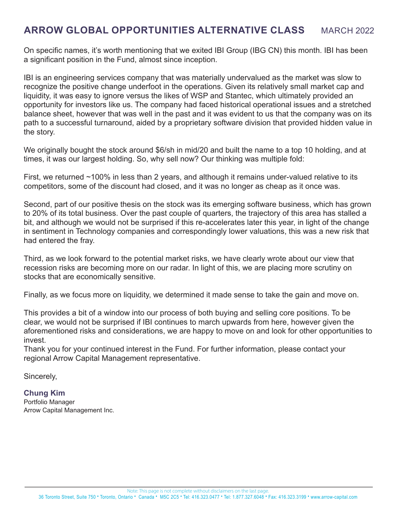# **ARROW GLOBAL OPPORTUNITIES ALTERNATIVE CLASS MARCH 2022**

On specific names, it's worth mentioning that we exited IBI Group (IBG CN) this month. IBI has been a significant position in the Fund, almost since inception.

IBI is an engineering services company that was materially undervalued as the market was slow to recognize the positive change underfoot in the operations. Given its relatively small market cap and liquidity, it was easy to ignore versus the likes of WSP and Stantec, which ultimately provided an opportunity for investors like us. The company had faced historical operational issues and a stretched balance sheet, however that was well in the past and it was evident to us that the company was on its path to a successful turnaround, aided by a proprietary software division that provided hidden value in the story.

We originally bought the stock around \$6/sh in mid/20 and built the name to a top 10 holding, and at times, it was our largest holding. So, why sell now? Our thinking was multiple fold:

First, we returned ~100% in less than 2 years, and although it remains under-valued relative to its competitors, some of the discount had closed, and it was no longer as cheap as it once was.

Second, part of our positive thesis on the stock was its emerging software business, which has grown to 20% of its total business. Over the past couple of quarters, the trajectory of this area has stalled a bit, and although we would not be surprised if this re-accelerates later this year, in light of the change in sentiment in Technology companies and correspondingly lower valuations, this was a new risk that had entered the fray.

Third, as we look forward to the potential market risks, we have clearly wrote about our view that recession risks are becoming more on our radar. In light of this, we are placing more scrutiny on stocks that are economically sensitive.

Finally, as we focus more on liquidity, we determined it made sense to take the gain and move on.

This provides a bit of a window into our process of both buying and selling core positions. To be clear, we would not be surprised if IBI continues to march upwards from here, however given the aforementioned risks and considerations, we are happy to move on and look for other opportunities to invest.

Thank you for your continued interest in the Fund. For further information, please contact your regional Arrow Capital Management representative.

Sincerely,

### **Chung Kim**

Portfolio Manager Arrow Capital Management Inc.